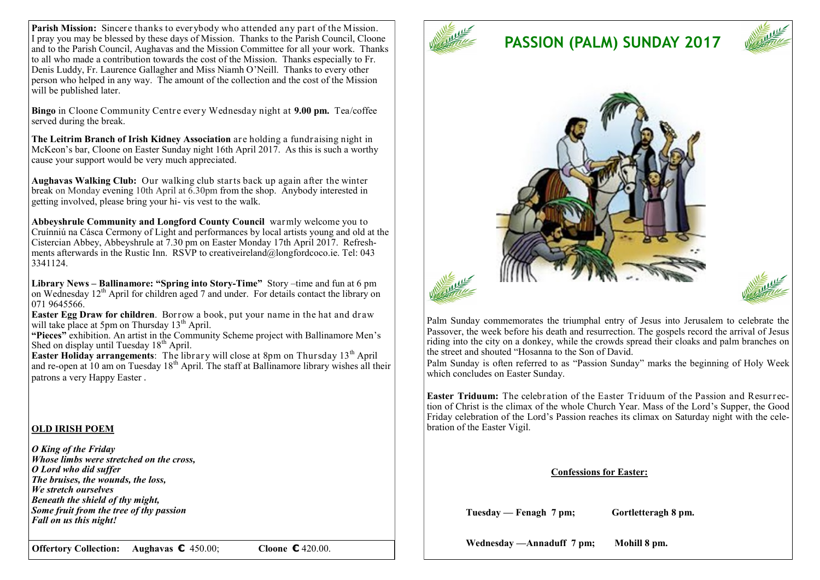**Parish Mission:** Sincere thanks to everybody who attended any part of the Mission. I pray you may be blessed by these days of Mission. Thanks to the Parish Council, Cloone and to the Parish Council, Aughavas and the Mission Committee for all your work. Thanks to all who made a contribution towards the cost of the Mission. Thanks especially to Fr. Denis Luddy, Fr. Laurence Gallagher and Miss Niamh O'Neill. Thanks to every other person who helped in any way. The amount of the collection and the cost of the Mission will be published later.

**Bingo** in Cloone Community Centre every Wednesday night at **9.00 pm.** Tea/coffee served during the break.

**The Leitrim Branch of Irish Kidney Association** are holding a fundraising night in McKeon's bar, Cloone on Easter Sunday night 16th April 2017. As this is such a worthy cause your support would be very much appreciated.

**Aughavas Walking Club:** Our walking club starts back up again after the winter break on Monday evening 10th April at 6.30pm from the shop. Anybody interested in getting involved, please bring your hi- vis vest to the walk.

**Abbeyshrule Community and Longford County Council** warmly welcome you to Cruínniú na Cásca Cermony of Light and performances by local artists young and old at the Cistercian Abbey, Abbeyshrule at 7.30 pm on Easter Monday 17th April 2017. Refreshments afterwards in the Rustic Inn. RSVP to creativeireland@longfordcoco.ie. Tel: 043 3341124.

**Library News – Ballinamore: "Spring into Story-Time"** Story –time and fun at 6 pm on Wednesday 12<sup>th</sup> April for children aged 7 and under. For details contact the library on 071 9645566.

**Easter Egg Draw for children**. Borrow a book, put your name in the hat and draw will take place at 5pm on Thursday  $13<sup>th</sup>$  April.

**"Pieces"** exhibition. An artist in the Community Scheme project with Ballinamore Men's Shed on display until Tuesday  $18<sup>th</sup>$  April.

**Easter Holiday arrangements:** The library will close at 8pm on Thursday 13<sup>th</sup> April and re-open at 10 am on Tuesday  $18<sup>th</sup>$  April. The staff at Ballinamore library wishes all their patrons a very Happy Easter .

#### **OLD IRISH POEM**

*O King of the Friday Whose limbs were stretched on the cross, O Lord who did suffer The bruises, the wounds, the loss, We stretch ourselves Beneath the shield of thy might, Some fruit from the tree of thy passion Fall on us this night!*

**Offertory Collection: Aughavas €** 450.00; **Cloone €** 420.00.



# **PASSION (PALM) SUNDAY 2017**



Palm Sunday commemorates the triumphal entry of Jesus into Jerusalem to celebrate the Passover, the week before his death and resurrection. The gospels record the arrival of Jesus riding into the city on a donkey, while the crowds spread their cloaks and palm branches on the street and shouted "Hosanna to the Son of David.

Palm Sunday is often referred to as "Passion Sunday" marks the beginning of Holy Week which concludes on Easter Sunday.

**Easter Triduum:** The celebration of the Easter Triduum of the Passion and Resurrection of Christ is the climax of the whole Church Year. Mass of the Lord's Supper, the Good Friday celebration of the Lord's Passion reaches its climax on Saturday night with the celebration of the Easter Vigil.

#### **Confessions for Easter:**

 **Tuesday — Fenagh 7 pm; Gortletteragh 8 pm.**

 **Wednesday —Annaduff 7 pm; Mohill 8 pm.**